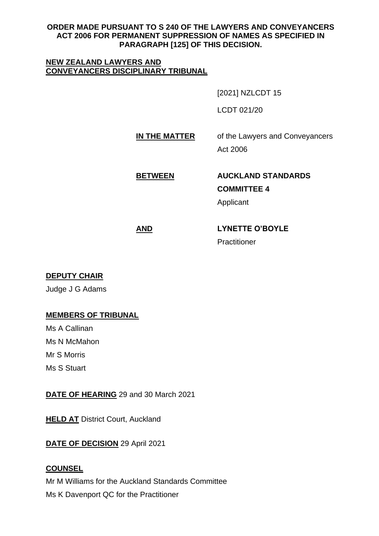## **ORDER MADE PURSUANT TO S 240 OF THE LAWYERS AND CONVEYANCERS ACT 2006 FOR PERMANENT SUPPRESSION OF NAMES AS SPECIFIED IN PARAGRAPH [125] OF THIS DECISION.**

### **NEW ZEALAND LAWYERS AND CONVEYANCERS DISCIPLINARY TRIBUNAL**

[2021] NZLCDT 15

LCDT 021/20

**IN THE MATTER** of the Lawyers and Conveyancers

Act 2006

# **BETWEEN AUCKLAND STANDARDS**

**COMMITTEE 4**

Applicant

## **AND LYNETTE O'BOYLE** Practitioner

## **DEPUTY CHAIR**

Judge J G Adams

## **MEMBERS OF TRIBUNAL**

Ms A Callinan Ms N McMahon Mr S Morris Ms S Stuart

**DATE OF HEARING** 29 and 30 March 2021

**HELD AT District Court, Auckland** 

**DATE OF DECISION** 29 April 2021

## **COUNSEL**

Mr M Williams for the Auckland Standards Committee Ms K Davenport QC for the Practitioner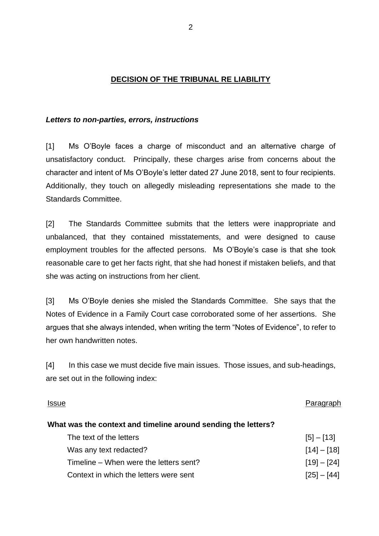## **DECISION OF THE TRIBUNAL RE LIABILITY**

#### *Letters to non-parties, errors, instructions*

[1] Ms O'Boyle faces a charge of misconduct and an alternative charge of unsatisfactory conduct. Principally, these charges arise from concerns about the character and intent of Ms O'Boyle's letter dated 27 June 2018, sent to four recipients. Additionally, they touch on allegedly misleading representations she made to the Standards Committee.

[2] The Standards Committee submits that the letters were inappropriate and unbalanced, that they contained misstatements, and were designed to cause employment troubles for the affected persons. Ms O'Boyle's case is that she took reasonable care to get her facts right, that she had honest if mistaken beliefs, and that she was acting on instructions from her client.

[3] Ms O'Boyle denies she misled the Standards Committee. She says that the Notes of Evidence in a Family Court case corroborated some of her assertions. She argues that she always intended, when writing the term "Notes of Evidence", to refer to her own handwritten notes.

[4] In this case we must decide five main issues. Those issues, and sub-headings, are set out in the following index:

#### Issue Paragraph

#### **What was the context and timeline around sending the letters?**

| The text of the letters                | $[5] - [13]$  |
|----------------------------------------|---------------|
| Was any text redacted?                 | $[14] - [18]$ |
| Timeline – When were the letters sent? | $[19] - [24]$ |
| Context in which the letters were sent | $[25] - [44]$ |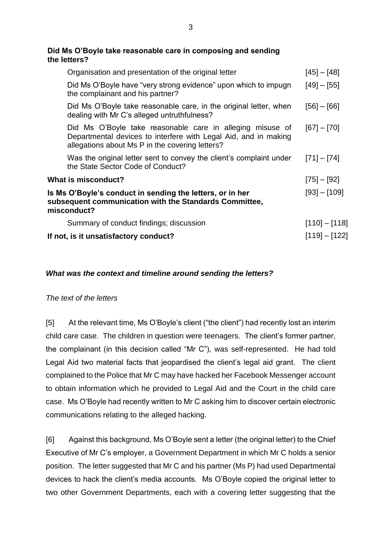## • **Did Ms O'Boyle take reasonable care in composing and sending the letters?**

| Organisation and presentation of the original letter                                                                                                                            | $[45] - [48]$   |
|---------------------------------------------------------------------------------------------------------------------------------------------------------------------------------|-----------------|
| Did Ms O'Boyle have "very strong evidence" upon which to impugn<br>the complainant and his partner?                                                                             | $[49] - [55]$   |
| Did Ms O'Boyle take reasonable care, in the original letter, when<br>dealing with Mr C's alleged untruthfulness?                                                                | $[56] - [66]$   |
| Did Ms O'Boyle take reasonable care in alleging misuse of<br>Departmental devices to interfere with Legal Aid, and in making<br>allegations about Ms P in the covering letters? | $[67] - [70]$   |
| Was the original letter sent to convey the client's complaint under<br>the State Sector Code of Conduct?                                                                        | $[71] - [74]$   |
| What is misconduct?                                                                                                                                                             | $[75] - [92]$   |
| Is Ms O'Boyle's conduct in sending the letters, or in her<br>subsequent communication with the Standards Committee,<br>misconduct?                                              | $[93] - [109]$  |
| Summary of conduct findings; discussion                                                                                                                                         | $[110] - [118]$ |
| If not, is it unsatisfactory conduct?                                                                                                                                           | $[119] - [122]$ |
|                                                                                                                                                                                 |                 |

## *What was the context and timeline around sending the letters?*

## *The text of the letters*

[5] At the relevant time, Ms O'Boyle's client ("the client") had recently lost an interim child care case. The children in question were teenagers. The client's former partner, the complainant (in this decision called "Mr C"), was self-represented. He had told Legal Aid two material facts that jeopardised the client's legal aid grant. The client complained to the Police that Mr C may have hacked her Facebook Messenger account to obtain information which he provided to Legal Aid and the Court in the child care case. Ms O'Boyle had recently written to Mr C asking him to discover certain electronic communications relating to the alleged hacking.

[6] Against this background, Ms O'Boyle sent a letter (the original letter) to the Chief Executive of Mr C's employer, a Government Department in which Mr C holds a senior position. The letter suggested that Mr C and his partner (Ms P) had used Departmental devices to hack the client's media accounts. Ms O'Boyle copied the original letter to two other Government Departments, each with a covering letter suggesting that the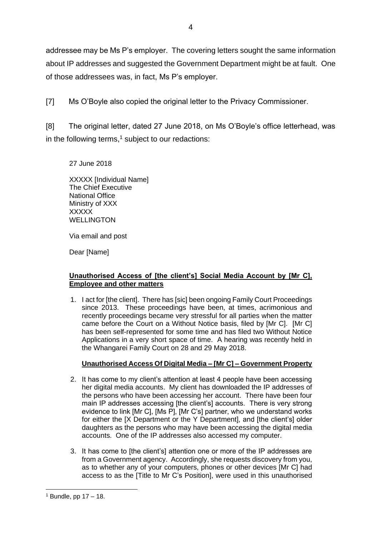addressee may be Ms P's employer. The covering letters sought the same information about IP addresses and suggested the Government Department might be at fault. One of those addressees was, in fact, Ms P's employer.

[7] Ms O'Boyle also copied the original letter to the Privacy Commissioner.

[8] The original letter, dated 27 June 2018, on Ms O'Boyle's office letterhead, was in the following terms, $1$  subject to our redactions:

27 June 2018

XXXXX [Individual Name] The Chief Executive National Office Ministry of XXX **XXXXX** WELLINGTON

Via email and post

Dear [Name]

### **Unauthorised Access of [the client's] Social Media Account by [Mr C], Employee and other matters**

1. I act for [the client]. There has [sic] been ongoing Family Court Proceedings since 2013. These proceedings have been, at times, acrimonious and recently proceedings became very stressful for all parties when the matter came before the Court on a Without Notice basis, filed by [Mr C]. [Mr C] has been self-represented for some time and has filed two Without Notice Applications in a very short space of time. A hearing was recently held in the Whangarei Family Court on 28 and 29 May 2018.

## **Unauthorised Access Of Digital Media – [Mr C] – Government Property**

- 2. It has come to my client's attention at least 4 people have been accessing her digital media accounts. My client has downloaded the IP addresses of the persons who have been accessing her account. There have been four main IP addresses accessing [the client's] accounts. There is very strong evidence to link [Mr C], [Ms P], [Mr C's] partner, who we understand works for either the [X Department or the Y Department], and [the client's] older daughters as the persons who may have been accessing the digital media accounts. One of the IP addresses also accessed my computer.
- 3. It has come to [the client's] attention one or more of the IP addresses are from a Government agency. Accordingly, she requests discovery from you, as to whether any of your computers, phones or other devices [Mr C] had access to as the [Title to Mr C's Position], were used in this unauthorised

 $1$  Bundle, pp  $17 - 18$ .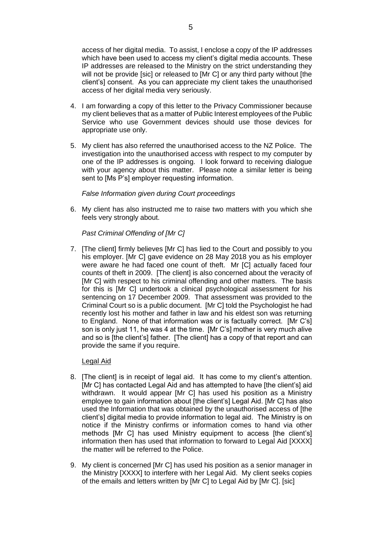access of her digital media. To assist, I enclose a copy of the IP addresses which have been used to access my client's digital media accounts. These IP addresses are released to the Ministry on the strict understanding they will not be provide [sic] or released to [Mr C] or any third party without [the client's] consent. As you can appreciate my client takes the unauthorised access of her digital media very seriously.

- 4. I am forwarding a copy of this letter to the Privacy Commissioner because my client believes that as a matter of Public Interest employees of the Public Service who use Government devices should use those devices for appropriate use only.
- 5. My client has also referred the unauthorised access to the NZ Police. The investigation into the unauthorised access with respect to my computer by one of the IP addresses is ongoing. I look forward to receiving dialogue with your agency about this matter. Please note a similar letter is being sent to [Ms P's] employer requesting information.

#### *False Information given during Court proceedings*

6. My client has also instructed me to raise two matters with you which she feels very strongly about.

#### *Past Criminal Offending of [Mr C]*

7. [The client] firmly believes [Mr C] has lied to the Court and possibly to you his employer. [Mr C] gave evidence on 28 May 2018 you as his employer were aware he had faced one count of theft. Mr [C] actually faced four counts of theft in 2009. [The client] is also concerned about the veracity of [Mr C] with respect to his criminal offending and other matters. The basis for this is [Mr C] undertook a clinical psychological assessment for his sentencing on 17 December 2009. That assessment was provided to the Criminal Court so is a public document. [Mr C] told the Psychologist he had recently lost his mother and father in law and his eldest son was returning to England. None of that information was or is factually correct. [Mr C's] son is only just 11, he was 4 at the time. [Mr C's] mother is very much alive and so is [the client's] father. [The client] has a copy of that report and can provide the same if you require.

#### Legal Aid

- 8. [The client] is in receipt of legal aid. It has come to my client's attention. [Mr C] has contacted Legal Aid and has attempted to have [the client's] aid withdrawn. It would appear [Mr C] has used his position as a Ministry employee to gain information about [the client's] Legal Aid. [Mr C] has also used the Information that was obtained by the unauthorised access of [the client's] digital media to provide information to legal aid. The Ministry is on notice if the Ministry confirms or information comes to hand via other methods [Mr C] has used Ministry equipment to access [the client's] information then has used that information to forward to Legal Aid [XXXX] the matter will be referred to the Police.
- 9. My client is concerned [Mr C] has used his position as a senior manager in the Ministry [XXXX] to interfere with her Legal Aid. My client seeks copies of the emails and letters written by [Mr C] to Legal Aid by [Mr C]. [sic]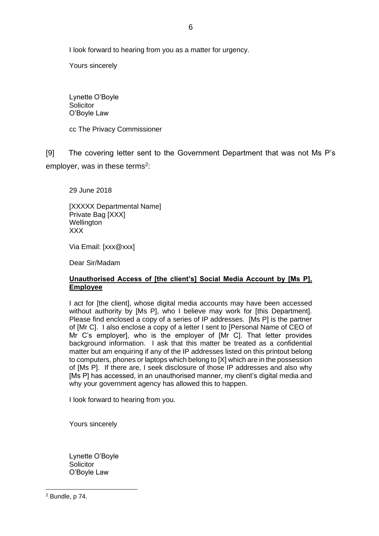I look forward to hearing from you as a matter for urgency.

Yours sincerely

Lynette O'Boyle **Solicitor** O'Boyle Law

cc The Privacy Commissioner

[9] The covering letter sent to the Government Department that was not Ms P's employer, was in these terms<sup>2</sup>:

29 June 2018

[XXXXX Departmental Name] Private Bag [XXX] **Wellington** XXX

Via Email: [xxx@xxx]

Dear Sir/Madam

#### **Unauthorised Access of [the client's] Social Media Account by [Ms P], Employee**

I act for [the client], whose digital media accounts may have been accessed without authority by [Ms P], who I believe may work for [this Department]. Please find enclosed a copy of a series of IP addresses. [Ms P] is the partner of [Mr C]. I also enclose a copy of a letter I sent to [Personal Name of CEO of Mr C's employer], who is the employer of [Mr C]. That letter provides background information. I ask that this matter be treated as a confidential matter but am enquiring if any of the IP addresses listed on this printout belong to computers, phones or laptops which belong to [X] which are in the possession of [Ms P]. If there are, I seek disclosure of those IP addresses and also why [Ms P] has accessed, in an unauthorised manner, my client's digital media and why your government agency has allowed this to happen.

I look forward to hearing from you.

Yours sincerely

Lynette O'Boyle **Solicitor** O'Boyle Law

<sup>2</sup> Bundle, p 74.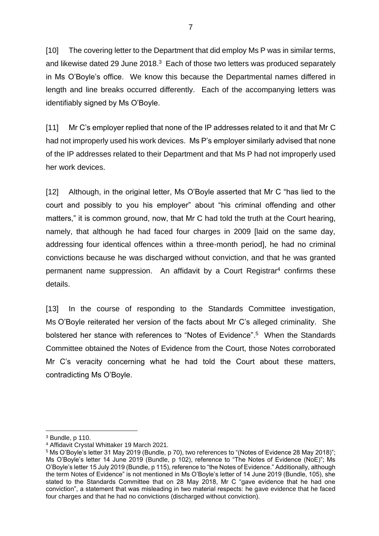[10] The covering letter to the Department that did employ Ms P was in similar terms, and likewise dated 29 June 2018.<sup>3</sup> Each of those two letters was produced separately in Ms O'Boyle's office. We know this because the Departmental names differed in length and line breaks occurred differently. Each of the accompanying letters was identifiably signed by Ms O'Boyle.

[11] Mr C's employer replied that none of the IP addresses related to it and that Mr C had not improperly used his work devices. Ms P's employer similarly advised that none of the IP addresses related to their Department and that Ms P had not improperly used her work devices.

[12] Although, in the original letter, Ms O'Boyle asserted that Mr C "has lied to the court and possibly to you his employer" about "his criminal offending and other matters," it is common ground, now, that Mr C had told the truth at the Court hearing, namely, that although he had faced four charges in 2009 [laid on the same day, addressing four identical offences within a three-month period], he had no criminal convictions because he was discharged without conviction, and that he was granted permanent name suppression. An affidavit by a Court Registrar<sup>4</sup> confirms these details.

[13] In the course of responding to the Standards Committee investigation, Ms O'Boyle reiterated her version of the facts about Mr C's alleged criminality. She bolstered her stance with references to "Notes of Evidence". <sup>5</sup> When the Standards Committee obtained the Notes of Evidence from the Court, those Notes corroborated Mr C's veracity concerning what he had told the Court about these matters, contradicting Ms O'Boyle.

<sup>3</sup> Bundle, p 110.

<sup>4</sup> Affidavit Crystal Whittaker 19 March 2021.

<sup>5</sup> Ms O'Boyle's letter 31 May 2019 (Bundle, p 70), two references to "(Notes of Evidence 28 May 2018)"; Ms O'Boyle's letter 14 June 2019 (Bundle, p 102), reference to "The Notes of Evidence (NoE)"; Ms O'Boyle's letter 15 July 2019 (Bundle, p 115), reference to "the Notes of Evidence." Additionally, although the term Notes of Evidence" is not mentioned in Ms O'Boyle's letter of 14 June 2019 (Bundle, 105), she stated to the Standards Committee that on 28 May 2018, Mr C "gave evidence that he had one conviction", a statement that was misleading in two material respects: he gave evidence that he faced four charges and that he had no convictions (discharged without conviction).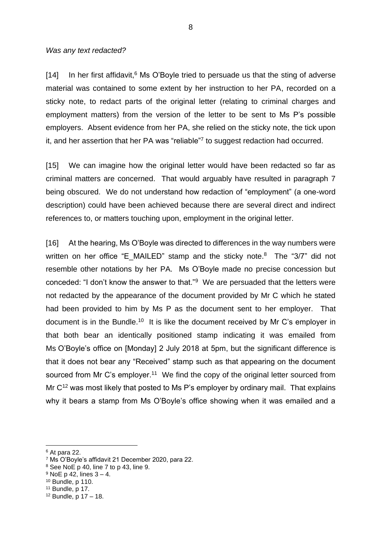#### *Was any text redacted?*

[14] In her first affidavit,<sup>6</sup> Ms O'Boyle tried to persuade us that the sting of adverse material was contained to some extent by her instruction to her PA, recorded on a sticky note, to redact parts of the original letter (relating to criminal charges and employment matters) from the version of the letter to be sent to Ms P's possible employers. Absent evidence from her PA, she relied on the sticky note, the tick upon it, and her assertion that her PA was "reliable"<sup>7</sup> to suggest redaction had occurred.

[15] We can imagine how the original letter would have been redacted so far as criminal matters are concerned. That would arguably have resulted in paragraph 7 being obscured. We do not understand how redaction of "employment" (a one-word description) could have been achieved because there are several direct and indirect references to, or matters touching upon, employment in the original letter.

[16] At the hearing, Ms O'Boyle was directed to differences in the way numbers were written on her office "E\_MAILED" stamp and the sticky note. $8$  The "3/7" did not resemble other notations by her PA. Ms O'Boyle made no precise concession but conceded: "I don't know the answer to that."<sup>9</sup> We are persuaded that the letters were not redacted by the appearance of the document provided by Mr C which he stated had been provided to him by Ms P as the document sent to her employer. That document is in the Bundle.<sup>10</sup> It is like the document received by Mr C's employer in that both bear an identically positioned stamp indicating it was emailed from Ms O'Boyle's office on [Monday] 2 July 2018 at 5pm, but the significant difference is that it does not bear any "Received" stamp such as that appearing on the document sourced from Mr C's employer.<sup>11</sup> We find the copy of the original letter sourced from Mr  $C^{12}$  was most likely that posted to Ms P's employer by ordinary mail. That explains why it bears a stamp from Ms O'Boyle's office showing when it was emailed and a

<sup>6</sup> At para 22.

<sup>7</sup> Ms O'Boyle's affidavit 21 December 2020, para 22.

<sup>8</sup> See NoE p 40, line 7 to p 43, line 9.

 $9$  NoE p 42, lines  $3 - 4$ .

<sup>10</sup> Bundle, p 110.

<sup>11</sup> Bundle, p 17.

 $12$  Bundle, p  $17 - 18$ .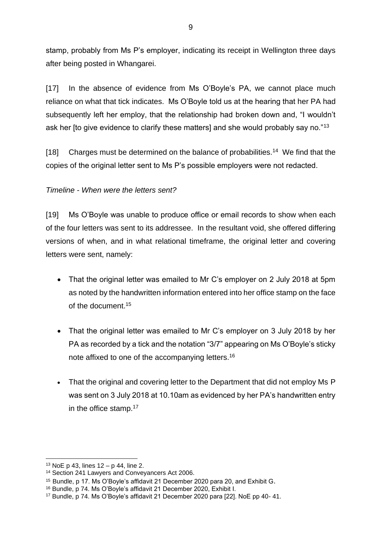stamp, probably from Ms P's employer, indicating its receipt in Wellington three days after being posted in Whangarei.

[17] In the absence of evidence from Ms O'Boyle's PA, we cannot place much reliance on what that tick indicates. Ms O'Boyle told us at the hearing that her PA had subsequently left her employ, that the relationship had broken down and, "I wouldn't ask her [to give evidence to clarify these matters] and she would probably say no."<sup>13</sup>

[18] Charges must be determined on the balance of probabilities.<sup>14</sup> We find that the copies of the original letter sent to Ms P's possible employers were not redacted.

## *Timeline - When were the letters sent?*

[19] Ms O'Boyle was unable to produce office or email records to show when each of the four letters was sent to its addressee. In the resultant void, she offered differing versions of when, and in what relational timeframe, the original letter and covering letters were sent, namely:

- That the original letter was emailed to Mr C's employer on 2 July 2018 at 5pm as noted by the handwritten information entered into her office stamp on the face of the document.<sup>15</sup>
- That the original letter was emailed to Mr C's employer on 3 July 2018 by her PA as recorded by a tick and the notation "3/7" appearing on Ms O'Boyle's sticky note affixed to one of the accompanying letters.<sup>16</sup>
- That the original and covering letter to the Department that did not employ Ms P was sent on 3 July 2018 at 10.10am as evidenced by her PA's handwritten entry in the office stamp.<sup>17</sup>

 $13$  NoE p 43, lines  $12 - p$  44, line 2.

<sup>14</sup> Section 241 Lawyers and Conveyancers Act 2006.

<sup>15</sup> Bundle, p 17. Ms O'Boyle's affidavit 21 December 2020 para 20, and Exhibit G.

<sup>16</sup> Bundle, p 74. Ms O'Boyle's affidavit 21 December 2020, Exhibit I.

<sup>17</sup> Bundle, p 74. Ms O'Boyle's affidavit 21 December 2020 para [22]. NoE pp 40- 41.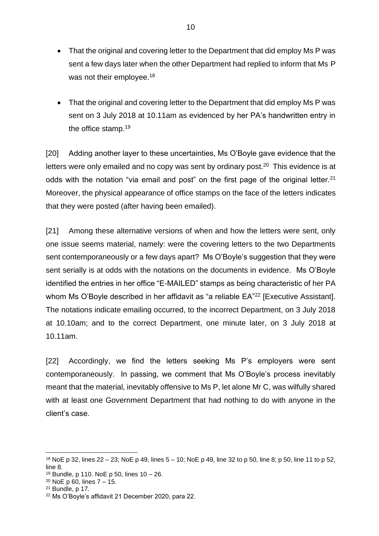- That the original and covering letter to the Department that did employ Ms P was sent a few days later when the other Department had replied to inform that Ms P was not their employee.<sup>18</sup>
- That the original and covering letter to the Department that did employ Ms P was sent on 3 July 2018 at 10.11am as evidenced by her PA's handwritten entry in the office stamp.<sup>19</sup>

[20] Adding another layer to these uncertainties, Ms O'Boyle gave evidence that the letters were only emailed and no copy was sent by ordinary post.<sup>20</sup> This evidence is at odds with the notation "via email and post" on the first page of the original letter.<sup>21</sup> Moreover, the physical appearance of office stamps on the face of the letters indicates that they were posted (after having been emailed).

[21] Among these alternative versions of when and how the letters were sent, only one issue seems material, namely: were the covering letters to the two Departments sent contemporaneously or a few days apart? Ms O'Boyle's suggestion that they were sent serially is at odds with the notations on the documents in evidence. Ms O'Boyle identified the entries in her office "E-MAILED" stamps as being characteristic of her PA whom Ms O'Boyle described in her affidavit as "a reliable EA"<sup>22</sup> [Executive Assistant]. The notations indicate emailing occurred, to the incorrect Department, on 3 July 2018 at 10.10am; and to the correct Department, one minute later, on 3 July 2018 at 10.11am.

[22] Accordingly, we find the letters seeking Ms P's employers were sent contemporaneously. In passing, we comment that Ms O'Boyle's process inevitably meant that the material, inevitably offensive to Ms P, let alone Mr C, was wilfully shared with at least one Government Department that had nothing to do with anyone in the client's case.

<sup>18</sup> NoE p 32, lines 22 – 23; NoE p 49, lines 5 – 10; NoE p 49, line 32 to p 50, line 8; p 50, line 11 to p 52, line 8.

 $19$  Bundle, p 110. NoE p 50, lines  $10 - 26$ .

<sup>20</sup> NoE p 60, lines 7 – 15.

<sup>21</sup> Bundle, p 17.

<sup>22</sup> Ms O'Boyle's affidavit 21 December 2020, para 22.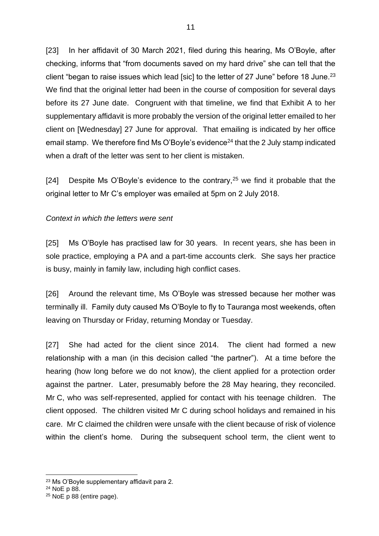[23] In her affidavit of 30 March 2021, filed during this hearing, Ms O'Boyle, after checking, informs that "from documents saved on my hard drive" she can tell that the client "began to raise issues which lead [sic] to the letter of 27 June" before 18 June.<sup>23</sup> We find that the original letter had been in the course of composition for several days before its 27 June date. Congruent with that timeline, we find that Exhibit A to her supplementary affidavit is more probably the version of the original letter emailed to her client on [Wednesday] 27 June for approval. That emailing is indicated by her office email stamp. We therefore find Ms O'Boyle's evidence<sup>24</sup> that the 2 July stamp indicated when a draft of the letter was sent to her client is mistaken.

[24] Despite Ms O'Boyle's evidence to the contrary,<sup>25</sup> we find it probable that the original letter to Mr C's employer was emailed at 5pm on 2 July 2018.

### *Context in which the letters were sent*

[25] Ms O'Boyle has practised law for 30 years. In recent years, she has been in sole practice, employing a PA and a part-time accounts clerk. She says her practice is busy, mainly in family law, including high conflict cases.

[26] Around the relevant time, Ms O'Boyle was stressed because her mother was terminally ill. Family duty caused Ms O'Boyle to fly to Tauranga most weekends, often leaving on Thursday or Friday, returning Monday or Tuesday.

[27] She had acted for the client since 2014. The client had formed a new relationship with a man (in this decision called "the partner"). At a time before the hearing (how long before we do not know), the client applied for a protection order against the partner. Later, presumably before the 28 May hearing, they reconciled. Mr C, who was self-represented, applied for contact with his teenage children. The client opposed. The children visited Mr C during school holidays and remained in his care. Mr C claimed the children were unsafe with the client because of risk of violence within the client's home. During the subsequent school term, the client went to

<sup>23</sup> Ms O'Boyle supplementary affidavit para 2.

<sup>24</sup> NoE p 88.

<sup>25</sup> NoE p 88 (entire page).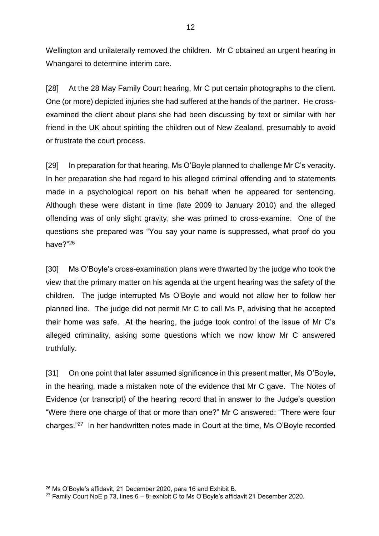Wellington and unilaterally removed the children. Mr C obtained an urgent hearing in Whangarei to determine interim care.

[28] At the 28 May Family Court hearing, Mr C put certain photographs to the client. One (or more) depicted injuries she had suffered at the hands of the partner. He crossexamined the client about plans she had been discussing by text or similar with her friend in the UK about spiriting the children out of New Zealand, presumably to avoid or frustrate the court process.

[29] In preparation for that hearing, Ms O'Boyle planned to challenge Mr C's veracity. In her preparation she had regard to his alleged criminal offending and to statements made in a psychological report on his behalf when he appeared for sentencing. Although these were distant in time (late 2009 to January 2010) and the alleged offending was of only slight gravity, she was primed to cross-examine. One of the questions she prepared was "You say your name is suppressed, what proof do you have?"<sup>26</sup>

[30] Ms O'Boyle's cross-examination plans were thwarted by the judge who took the view that the primary matter on his agenda at the urgent hearing was the safety of the children. The judge interrupted Ms O'Boyle and would not allow her to follow her planned line. The judge did not permit Mr C to call Ms P, advising that he accepted their home was safe. At the hearing, the judge took control of the issue of Mr C's alleged criminality, asking some questions which we now know Mr C answered truthfully.

[31] On one point that later assumed significance in this present matter, Ms O'Boyle, in the hearing, made a mistaken note of the evidence that Mr C gave. The Notes of Evidence (or transcript) of the hearing record that in answer to the Judge's question "Were there one charge of that or more than one?" Mr C answered: "There were four charges."<sup>27</sup> In her handwritten notes made in Court at the time, Ms O'Boyle recorded

<sup>26</sup> Ms O'Boyle's affidavit, 21 December 2020, para 16 and Exhibit B.

<sup>&</sup>lt;sup>27</sup> Family Court NoE p 73, lines  $6 - 8$ ; exhibit C to Ms O'Boyle's affidavit 21 December 2020.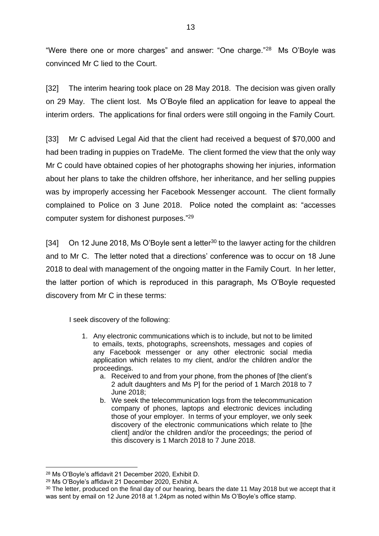"Were there one or more charges" and answer: "One charge."<sup>28</sup> Ms O'Boyle was convinced Mr C lied to the Court.

[32] The interim hearing took place on 28 May 2018. The decision was given orally on 29 May. The client lost. Ms O'Boyle filed an application for leave to appeal the interim orders. The applications for final orders were still ongoing in the Family Court.

[33] Mr C advised Legal Aid that the client had received a bequest of \$70,000 and had been trading in puppies on TradeMe. The client formed the view that the only way Mr C could have obtained copies of her photographs showing her injuries, information about her plans to take the children offshore, her inheritance, and her selling puppies was by improperly accessing her Facebook Messenger account. The client formally complained to Police on 3 June 2018. Police noted the complaint as: "accesses computer system for dishonest purposes."<sup>29</sup>

[34] On 12 June 2018, Ms O'Boyle sent a letter<sup>30</sup> to the lawyer acting for the children and to Mr C. The letter noted that a directions' conference was to occur on 18 June 2018 to deal with management of the ongoing matter in the Family Court. In her letter, the latter portion of which is reproduced in this paragraph, Ms O'Boyle requested discovery from Mr C in these terms:

I seek discovery of the following:

- 1. Any electronic communications which is to include, but not to be limited to emails, texts, photographs, screenshots, messages and copies of any Facebook messenger or any other electronic social media application which relates to my client, and/or the children and/or the proceedings.
	- a. Received to and from your phone, from the phones of [the client's 2 adult daughters and Ms P] for the period of 1 March 2018 to 7 June 2018;
	- b. We seek the telecommunication logs from the telecommunication company of phones, laptops and electronic devices including those of your employer. In terms of your employer, we only seek discovery of the electronic communications which relate to [the client] and/or the children and/or the proceedings; the period of this discovery is 1 March 2018 to 7 June 2018.

<sup>28</sup> Ms O'Boyle's affidavit 21 December 2020, Exhibit D.

<sup>29</sup> Ms O'Boyle's affidavit 21 December 2020, Exhibit A.

<sup>&</sup>lt;sup>30</sup> The letter, produced on the final day of our hearing, bears the date 11 May 2018 but we accept that it was sent by email on 12 June 2018 at 1.24pm as noted within Ms O'Boyle's office stamp.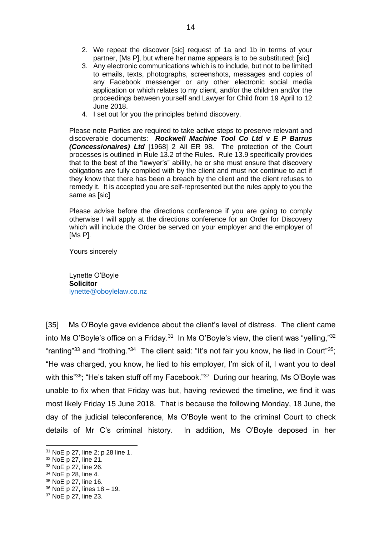- 2. We repeat the discover [sic] request of 1a and 1b in terms of your partner, [Ms P], but where her name appears is to be substituted; [sic]
- 3. Any electronic communications which is to include, but not to be limited to emails, texts, photographs, screenshots, messages and copies of any Facebook messenger or any other electronic social media application or which relates to my client, and/or the children and/or the proceedings between yourself and Lawyer for Child from 19 April to 12 June 2018.
- 4. I set out for you the principles behind discovery.

Please note Parties are required to take active steps to preserve relevant and discoverable documents: *Rockwell Machine Tool Co Ltd v E P Barrus (Concessionaires) Ltd* [1968] 2 All ER 98. The protection of the Court processes is outlined in Rule 13.2 of the Rules. Rule 13.9 specifically provides that to the best of the "lawyer's" ability, he or she must ensure that discovery obligations are fully complied with by the client and must not continue to act if they know that there has been a breach by the client and the client refuses to remedy it. It is accepted you are self-represented but the rules apply to you the same as [sic]

Please advise before the directions conference if you are going to comply otherwise I will apply at the directions conference for an Order for Discovery which will include the Order be served on your employer and the employer of [Ms P].

Yours sincerely

Lynette O'Boyle **Solicitor** [lynette@oboylelaw.co.nz](mailto:lynette@oboylelaw.co.nz)

[35] Ms O'Boyle gave evidence about the client's level of distress. The client came into Ms O'Boyle's office on a Friday.<sup>31</sup> In Ms O'Boyle's view, the client was "yelling," $32$ "ranting"<sup>33</sup> and "frothing."<sup>34</sup> The client said: "It's not fair you know, he lied in Court"<sup>35</sup>; "He was charged, you know, he lied to his employer, I'm sick of it, I want you to deal with this<sup>"36</sup>; "He's taken stuff off my Facebook."<sup>37</sup> During our hearing, Ms O'Boyle was unable to fix when that Friday was but, having reviewed the timeline, we find it was most likely Friday 15 June 2018. That is because the following Monday, 18 June, the day of the judicial teleconference, Ms O'Boyle went to the criminal Court to check details of Mr C's criminal history. In addition, Ms O'Boyle deposed in her

<sup>31</sup> NoE p 27, line 2; p 28 line 1.

<sup>32</sup> NoE p 27, line 21.

<sup>33</sup> NoE p 27, line 26.

<sup>34</sup> NoE p 28, line 4.

<sup>35</sup> NoE p 27, line 16.

<sup>36</sup> NoE p 27, lines 18 – 19.

<sup>37</sup> NoE p 27, line 23.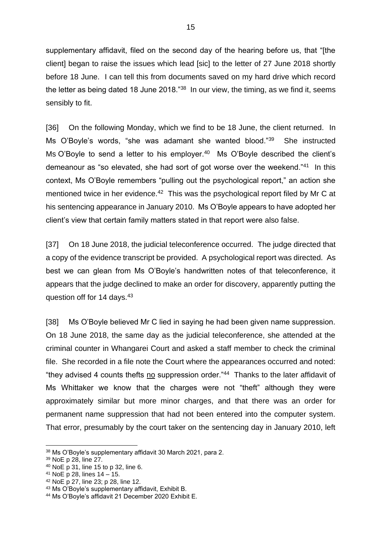supplementary affidavit, filed on the second day of the hearing before us, that "[the client] began to raise the issues which lead [sic] to the letter of 27 June 2018 shortly before 18 June. I can tell this from documents saved on my hard drive which record the letter as being dated 18 June 2018."<sup>38</sup> In our view, the timing, as we find it, seems sensibly to fit.

[36] On the following Monday, which we find to be 18 June, the client returned. In Ms O'Boyle's words, "she was adamant she wanted blood."<sup>39</sup> She instructed Ms O'Boyle to send a letter to his employer.<sup>40</sup> Ms O'Boyle described the client's demeanour as "so elevated, she had sort of got worse over the weekend."<sup>41</sup> In this context, Ms O'Boyle remembers "pulling out the psychological report," an action she mentioned twice in her evidence.<sup>42</sup> This was the psychological report filed by Mr C at his sentencing appearance in January 2010. Ms O'Boyle appears to have adopted her client's view that certain family matters stated in that report were also false.

[37] On 18 June 2018, the judicial teleconference occurred. The judge directed that a copy of the evidence transcript be provided. A psychological report was directed. As best we can glean from Ms O'Boyle's handwritten notes of that teleconference, it appears that the judge declined to make an order for discovery, apparently putting the question off for 14 days.<sup>43</sup>

[38] Ms O'Boyle believed Mr C lied in saying he had been given name suppression. On 18 June 2018, the same day as the judicial teleconference, she attended at the criminal counter in Whangarei Court and asked a staff member to check the criminal file. She recorded in a file note the Court where the appearances occurred and noted: "they advised 4 counts thefts no suppression order."<sup>44</sup> Thanks to the later affidavit of Ms Whittaker we know that the charges were not "theft" although they were approximately similar but more minor charges, and that there was an order for permanent name suppression that had not been entered into the computer system. That error, presumably by the court taker on the sentencing day in January 2010, left

<sup>38</sup> Ms O'Boyle's supplementary affidavit 30 March 2021, para 2.

<sup>39</sup> NoE p 28, line 27.

<sup>40</sup> NoE p 31, line 15 to p 32, line 6.

<sup>41</sup> NoE p 28, lines 14 – 15.

<sup>42</sup> NoE p 27, line 23; p 28, line 12.

<sup>43</sup> Ms O'Boyle's supplementary affidavit, Exhibit B.

<sup>44</sup> Ms O'Boyle's affidavit 21 December 2020 Exhibit E.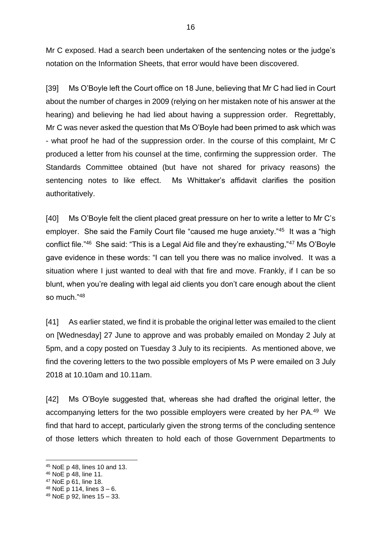Mr C exposed. Had a search been undertaken of the sentencing notes or the judge's notation on the Information Sheets, that error would have been discovered.

[39] Ms O'Boyle left the Court office on 18 June, believing that Mr C had lied in Court about the number of charges in 2009 (relying on her mistaken note of his answer at the hearing) and believing he had lied about having a suppression order. Regrettably, Mr C was never asked the question that Ms O'Boyle had been primed to ask which was - what proof he had of the suppression order. In the course of this complaint, Mr C produced a letter from his counsel at the time, confirming the suppression order. The Standards Committee obtained (but have not shared for privacy reasons) the sentencing notes to like effect. Ms Whittaker's affidavit clarifies the position authoritatively.

[40] Ms O'Boyle felt the client placed great pressure on her to write a letter to Mr C's employer. She said the Family Court file "caused me huge anxiety."<sup>45</sup> It was a "high conflict file."<sup>46</sup> She said: "This is a Legal Aid file and they're exhausting,"<sup>47</sup> Ms O'Boyle gave evidence in these words: "I can tell you there was no malice involved. It was a situation where I just wanted to deal with that fire and move. Frankly, if I can be so blunt, when you're dealing with legal aid clients you don't care enough about the client so much."<sup>48</sup>

[41] As earlier stated, we find it is probable the original letter was emailed to the client on [Wednesday] 27 June to approve and was probably emailed on Monday 2 July at 5pm, and a copy posted on Tuesday 3 July to its recipients. As mentioned above, we find the covering letters to the two possible employers of Ms P were emailed on 3 July 2018 at 10.10am and 10.11am.

[42] Ms O'Boyle suggested that, whereas she had drafted the original letter, the accompanying letters for the two possible employers were created by her PA.<sup>49</sup> We find that hard to accept, particularly given the strong terms of the concluding sentence of those letters which threaten to hold each of those Government Departments to

<sup>45</sup> NoE p 48, lines 10 and 13.

<sup>46</sup> NoE p 48, line 11.

<sup>47</sup> NoE p 61, line 18.

 $48$  NoE p 114, lines  $3 - 6$ .

<sup>49</sup> NoE p 92, lines 15 – 33.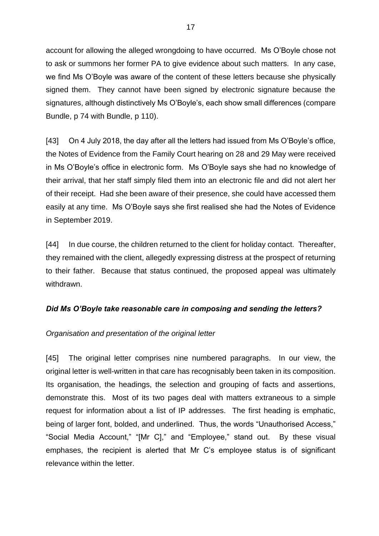account for allowing the alleged wrongdoing to have occurred. Ms O'Boyle chose not to ask or summons her former PA to give evidence about such matters. In any case, we find Ms O'Boyle was aware of the content of these letters because she physically signed them. They cannot have been signed by electronic signature because the signatures, although distinctively Ms O'Boyle's, each show small differences (compare Bundle, p 74 with Bundle, p 110).

[43] On 4 July 2018, the day after all the letters had issued from Ms O'Boyle's office, the Notes of Evidence from the Family Court hearing on 28 and 29 May were received in Ms O'Boyle's office in electronic form. Ms O'Boyle says she had no knowledge of their arrival, that her staff simply filed them into an electronic file and did not alert her of their receipt. Had she been aware of their presence, she could have accessed them easily at any time. Ms O'Boyle says she first realised she had the Notes of Evidence in September 2019.

[44] In due course, the children returned to the client for holiday contact. Thereafter, they remained with the client, allegedly expressing distress at the prospect of returning to their father. Because that status continued, the proposed appeal was ultimately withdrawn.

## *Did Ms O'Boyle take reasonable care in composing and sending the letters?*

## *Organisation and presentation of the original letter*

[45] The original letter comprises nine numbered paragraphs. In our view, the original letter is well-written in that care has recognisably been taken in its composition. Its organisation, the headings, the selection and grouping of facts and assertions, demonstrate this. Most of its two pages deal with matters extraneous to a simple request for information about a list of IP addresses. The first heading is emphatic, being of larger font, bolded, and underlined. Thus, the words "Unauthorised Access," "Social Media Account," "[Mr C]," and "Employee," stand out. By these visual emphases, the recipient is alerted that Mr C's employee status is of significant relevance within the letter.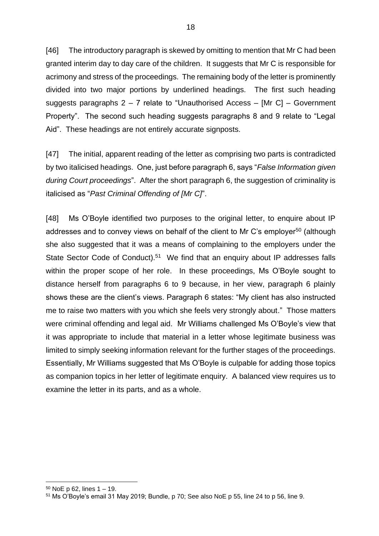[46] The introductory paragraph is skewed by omitting to mention that Mr C had been granted interim day to day care of the children. It suggests that Mr C is responsible for acrimony and stress of the proceedings. The remaining body of the letter is prominently divided into two major portions by underlined headings. The first such heading suggests paragraphs 2 – 7 relate to "Unauthorised Access – [Mr C] – Government Property". The second such heading suggests paragraphs 8 and 9 relate to "Legal Aid". These headings are not entirely accurate signposts.

[47] The initial, apparent reading of the letter as comprising two parts is contradicted by two italicised headings. One, just before paragraph 6, says "*False Information given during Court proceedings*". After the short paragraph 6, the suggestion of criminality is italicised as "*Past Criminal Offending of [Mr C]*".

[48] Ms O'Boyle identified two purposes to the original letter, to enquire about IP addresses and to convey views on behalf of the client to Mr C's employer<sup>50</sup> (although she also suggested that it was a means of complaining to the employers under the State Sector Code of Conduct).<sup>51</sup> We find that an enquiry about IP addresses falls within the proper scope of her role. In these proceedings, Ms O'Boyle sought to distance herself from paragraphs 6 to 9 because, in her view, paragraph 6 plainly shows these are the client's views. Paragraph 6 states: "My client has also instructed me to raise two matters with you which she feels very strongly about." Those matters were criminal offending and legal aid. Mr Williams challenged Ms O'Boyle's view that it was appropriate to include that material in a letter whose legitimate business was limited to simply seeking information relevant for the further stages of the proceedings. Essentially, Mr Williams suggested that Ms O'Boyle is culpable for adding those topics as companion topics in her letter of legitimate enquiry. A balanced view requires us to examine the letter in its parts, and as a whole.

 $50$  NoE p 62, lines  $1 - 19$ .

<sup>51</sup> Ms O'Boyle's email 31 May 2019; Bundle, p 70; See also NoE p 55, line 24 to p 56, line 9.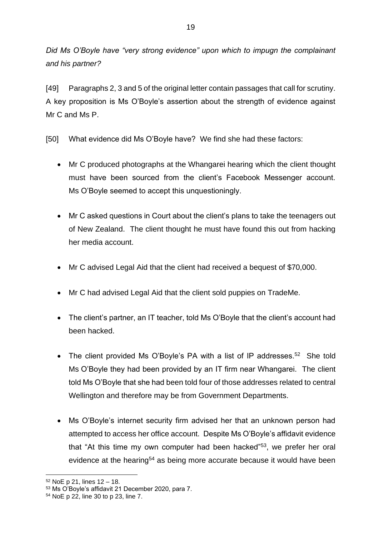*Did Ms O'Boyle have "very strong evidence" upon which to impugn the complainant and his partner?*

[49] Paragraphs 2, 3 and 5 of the original letter contain passages that call for scrutiny. A key proposition is Ms O'Boyle's assertion about the strength of evidence against Mr C and Ms P.

[50] What evidence did Ms O'Boyle have? We find she had these factors:

- Mr C produced photographs at the Whangarei hearing which the client thought must have been sourced from the client's Facebook Messenger account. Ms O'Boyle seemed to accept this unquestioningly.
- Mr C asked questions in Court about the client's plans to take the teenagers out of New Zealand. The client thought he must have found this out from hacking her media account.
- Mr C advised Legal Aid that the client had received a bequest of \$70,000.
- Mr C had advised Legal Aid that the client sold puppies on TradeMe.
- The client's partner, an IT teacher, told Ms O'Boyle that the client's account had been hacked.
- The client provided Ms O'Boyle's PA with a list of IP addresses.<sup>52</sup> She told Ms O'Boyle they had been provided by an IT firm near Whangarei. The client told Ms O'Boyle that she had been told four of those addresses related to central Wellington and therefore may be from Government Departments.
- Ms O'Boyle's internet security firm advised her that an unknown person had attempted to access her office account. Despite Ms O'Boyle's affidavit evidence that "At this time my own computer had been hacked"<sup>53</sup>, we prefer her oral evidence at the hearing<sup>54</sup> as being more accurate because it would have been

<sup>52</sup> NoE p 21, lines 12 – 18.

<sup>53</sup> Ms O'Boyle's affidavit 21 December 2020, para 7.

<sup>54</sup> NoE p 22, line 30 to p 23, line 7.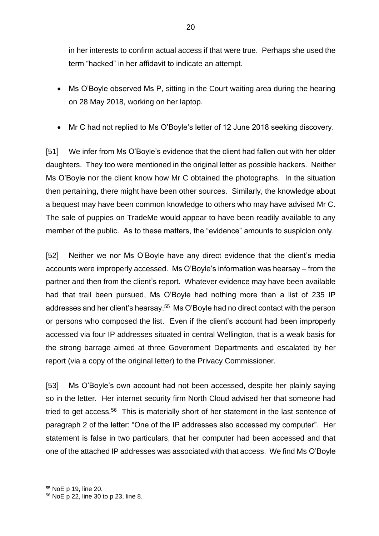in her interests to confirm actual access if that were true. Perhaps she used the term "hacked" in her affidavit to indicate an attempt.

- Ms O'Boyle observed Ms P, sitting in the Court waiting area during the hearing on 28 May 2018, working on her laptop.
- Mr C had not replied to Ms O'Boyle's letter of 12 June 2018 seeking discovery.

[51] We infer from Ms O'Boyle's evidence that the client had fallen out with her older daughters. They too were mentioned in the original letter as possible hackers. Neither Ms O'Boyle nor the client know how Mr C obtained the photographs. In the situation then pertaining, there might have been other sources. Similarly, the knowledge about a bequest may have been common knowledge to others who may have advised Mr C. The sale of puppies on TradeMe would appear to have been readily available to any member of the public. As to these matters, the "evidence" amounts to suspicion only.

[52] Neither we nor Ms O'Boyle have any direct evidence that the client's media accounts were improperly accessed. Ms O'Boyle's information was hearsay – from the partner and then from the client's report. Whatever evidence may have been available had that trail been pursued, Ms O'Boyle had nothing more than a list of 235 IP addresses and her client's hearsay.<sup>55</sup> Ms O'Boyle had no direct contact with the person or persons who composed the list. Even if the client's account had been improperly accessed via four IP addresses situated in central Wellington, that is a weak basis for the strong barrage aimed at three Government Departments and escalated by her report (via a copy of the original letter) to the Privacy Commissioner.

[53] Ms O'Boyle's own account had not been accessed, despite her plainly saying so in the letter. Her internet security firm North Cloud advised her that someone had tried to get access.<sup>56</sup> This is materially short of her statement in the last sentence of paragraph 2 of the letter: "One of the IP addresses also accessed my computer". Her statement is false in two particulars, that her computer had been accessed and that one of the attached IP addresses was associated with that access. We find Ms O'Boyle

<sup>55</sup> NoE p 19, line 20.

<sup>56</sup> NoE p 22, line 30 to p 23, line 8.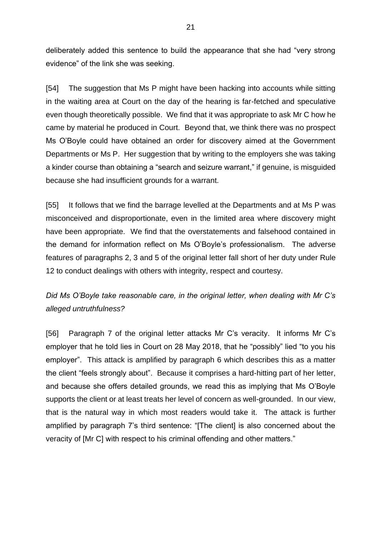deliberately added this sentence to build the appearance that she had "very strong evidence" of the link she was seeking.

[54] The suggestion that Ms P might have been hacking into accounts while sitting in the waiting area at Court on the day of the hearing is far-fetched and speculative even though theoretically possible. We find that it was appropriate to ask Mr C how he came by material he produced in Court. Beyond that, we think there was no prospect Ms O'Boyle could have obtained an order for discovery aimed at the Government Departments or Ms P. Her suggestion that by writing to the employers she was taking a kinder course than obtaining a "search and seizure warrant," if genuine, is misguided because she had insufficient grounds for a warrant.

[55] It follows that we find the barrage levelled at the Departments and at Ms P was misconceived and disproportionate, even in the limited area where discovery might have been appropriate. We find that the overstatements and falsehood contained in the demand for information reflect on Ms O'Boyle's professionalism. The adverse features of paragraphs 2, 3 and 5 of the original letter fall short of her duty under Rule 12 to conduct dealings with others with integrity, respect and courtesy.

*Did Ms O'Boyle take reasonable care, in the original letter, when dealing with Mr C's alleged untruthfulness?*

[56] Paragraph 7 of the original letter attacks Mr C's veracity. It informs Mr C's employer that he told lies in Court on 28 May 2018, that he "possibly" lied "to you his employer". This attack is amplified by paragraph 6 which describes this as a matter the client "feels strongly about". Because it comprises a hard-hitting part of her letter, and because she offers detailed grounds, we read this as implying that Ms O'Boyle supports the client or at least treats her level of concern as well-grounded. In our view, that is the natural way in which most readers would take it. The attack is further amplified by paragraph 7's third sentence: "[The client] is also concerned about the veracity of [Mr C] with respect to his criminal offending and other matters."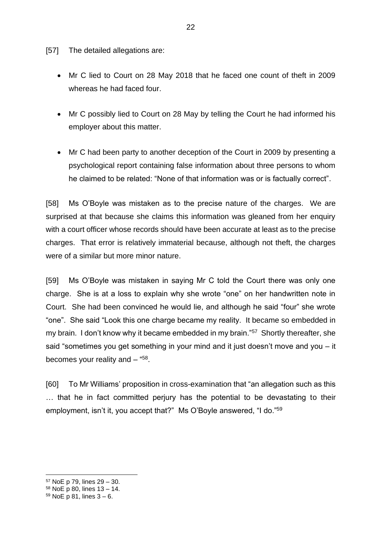[57] The detailed allegations are:

- Mr C lied to Court on 28 May 2018 that he faced one count of theft in 2009 whereas he had faced four.
- Mr C possibly lied to Court on 28 May by telling the Court he had informed his employer about this matter.
- Mr C had been party to another deception of the Court in 2009 by presenting a psychological report containing false information about three persons to whom he claimed to be related: "None of that information was or is factually correct".

[58] Ms O'Boyle was mistaken as to the precise nature of the charges. We are surprised at that because she claims this information was gleaned from her enquiry with a court officer whose records should have been accurate at least as to the precise charges. That error is relatively immaterial because, although not theft, the charges were of a similar but more minor nature.

[59] Ms O'Boyle was mistaken in saying Mr C told the Court there was only one charge. She is at a loss to explain why she wrote "one" on her handwritten note in Court. She had been convinced he would lie, and although he said "four" she wrote "one". She said "Look this one charge became my reality. It became so embedded in my brain. I don't know why it became embedded in my brain."<sup>57</sup> Shortly thereafter, she said "sometimes you get something in your mind and it just doesn't move and you – it becomes your reality and  $-$  "58.

[60] To Mr Williams' proposition in cross-examination that "an allegation such as this … that he in fact committed perjury has the potential to be devastating to their employment, isn't it, you accept that?" Ms O'Boyle answered, "I do."<sup>59</sup>

<sup>57</sup> NoE p 79, lines 29 – 30.

<sup>58</sup> NoE p 80, lines 13 – 14.

 $59$  NoE p 81, lines  $3 - 6$ .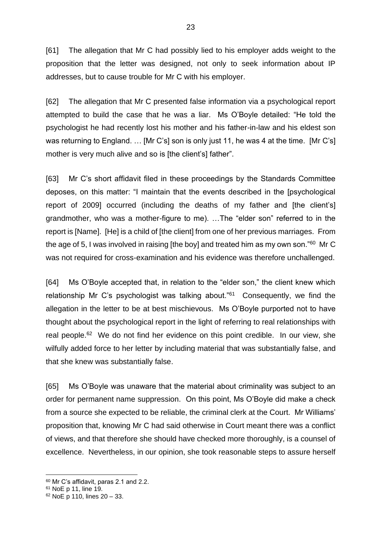[61] The allegation that Mr C had possibly lied to his employer adds weight to the proposition that the letter was designed, not only to seek information about IP addresses, but to cause trouble for Mr C with his employer.

[62] The allegation that Mr C presented false information via a psychological report attempted to build the case that he was a liar. Ms O'Boyle detailed: "He told the psychologist he had recently lost his mother and his father-in-law and his eldest son was returning to England. … [Mr C's] son is only just 11, he was 4 at the time. [Mr C's] mother is very much alive and so is [the client's] father".

[63] Mr C's short affidavit filed in these proceedings by the Standards Committee deposes, on this matter: "I maintain that the events described in the [psychological report of 2009] occurred (including the deaths of my father and [the client's] grandmother, who was a mother-figure to me). …The "elder son" referred to in the report is [Name]. [He] is a child of [the client] from one of her previous marriages. From the age of 5, I was involved in raising [the boy] and treated him as my own son."<sup>60</sup> Mr C was not required for cross-examination and his evidence was therefore unchallenged.

[64] Ms O'Boyle accepted that, in relation to the "elder son," the client knew which relationship Mr C's psychologist was talking about."<sup>61</sup> Consequently, we find the allegation in the letter to be at best mischievous. Ms O'Boyle purported not to have thought about the psychological report in the light of referring to real relationships with real people.<sup>62</sup> We do not find her evidence on this point credible. In our view, she wilfully added force to her letter by including material that was substantially false, and that she knew was substantially false.

[65] Ms O'Boyle was unaware that the material about criminality was subject to an order for permanent name suppression. On this point, Ms O'Boyle did make a check from a source she expected to be reliable, the criminal clerk at the Court. Mr Williams' proposition that, knowing Mr C had said otherwise in Court meant there was a conflict of views, and that therefore she should have checked more thoroughly, is a counsel of excellence. Nevertheless, in our opinion, she took reasonable steps to assure herself

<sup>60</sup> Mr C's affidavit, paras 2.1 and 2.2.

<sup>61</sup> NoE p 11, line 19.

<sup>62</sup> NoE p 110, lines 20 – 33.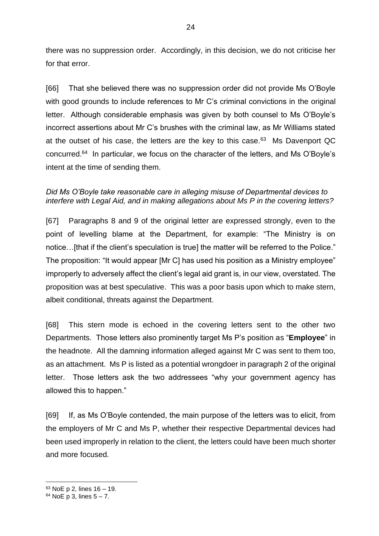there was no suppression order. Accordingly, in this decision, we do not criticise her for that error.

[66] That she believed there was no suppression order did not provide Ms O'Boyle with good grounds to include references to Mr C's criminal convictions in the original letter. Although considerable emphasis was given by both counsel to Ms O'Boyle's incorrect assertions about Mr C's brushes with the criminal law, as Mr Williams stated at the outset of his case, the letters are the key to this case.<sup>63</sup> Ms Davenport QC concurred.<sup>64</sup> In particular, we focus on the character of the letters, and Ms O'Boyle's intent at the time of sending them.

## *Did Ms O'Boyle take reasonable care in alleging misuse of Departmental devices to interfere with Legal Aid, and in making allegations about Ms P in the covering letters?*

[67] Paragraphs 8 and 9 of the original letter are expressed strongly, even to the point of levelling blame at the Department, for example: "The Ministry is on notice…[that if the client's speculation is true] the matter will be referred to the Police." The proposition: "It would appear [Mr C] has used his position as a Ministry employee" improperly to adversely affect the client's legal aid grant is, in our view, overstated. The proposition was at best speculative. This was a poor basis upon which to make stern, albeit conditional, threats against the Department.

[68] This stern mode is echoed in the covering letters sent to the other two Departments. Those letters also prominently target Ms P's position as "**Employee**" in the headnote. All the damning information alleged against Mr C was sent to them too, as an attachment. Ms P is listed as a potential wrongdoer in paragraph 2 of the original letter. Those letters ask the two addressees "why your government agency has allowed this to happen."

[69] If, as Ms O'Boyle contended, the main purpose of the letters was to elicit, from the employers of Mr C and Ms P, whether their respective Departmental devices had been used improperly in relation to the client, the letters could have been much shorter and more focused.

<sup>63</sup> NoE p 2, lines 16 – 19.

 $64$  NoE p 3, lines  $5 - 7$ .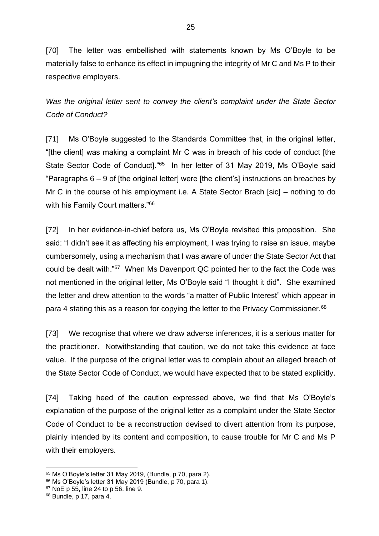[70] The letter was embellished with statements known by Ms O'Boyle to be materially false to enhance its effect in impugning the integrity of Mr C and Ms P to their respective employers.

*Was the original letter sent to convey the client's complaint under the State Sector Code of Conduct?*

[71] Ms O'Boyle suggested to the Standards Committee that, in the original letter, "[the client] was making a complaint Mr C was in breach of his code of conduct [the State Sector Code of Conduct]."<sup>65</sup> In her letter of 31 May 2019, Ms O'Boyle said "Paragraphs 6 – 9 of [the original letter] were [the client's] instructions on breaches by Mr C in the course of his employment i.e. A State Sector Brach [sic] – nothing to do with his Family Court matters."<sup>66</sup>

[72] In her evidence-in-chief before us, Ms O'Boyle revisited this proposition. She said: "I didn't see it as affecting his employment, I was trying to raise an issue, maybe cumbersomely, using a mechanism that I was aware of under the State Sector Act that could be dealt with."<sup>67</sup> When Ms Davenport QC pointed her to the fact the Code was not mentioned in the original letter, Ms O'Boyle said "I thought it did". She examined the letter and drew attention to the words "a matter of Public Interest" which appear in para 4 stating this as a reason for copying the letter to the Privacy Commissioner.<sup>68</sup>

[73] We recognise that where we draw adverse inferences, it is a serious matter for the practitioner. Notwithstanding that caution, we do not take this evidence at face value. If the purpose of the original letter was to complain about an alleged breach of the State Sector Code of Conduct, we would have expected that to be stated explicitly.

[74] Taking heed of the caution expressed above, we find that Ms O'Boyle's explanation of the purpose of the original letter as a complaint under the State Sector Code of Conduct to be a reconstruction devised to divert attention from its purpose, plainly intended by its content and composition, to cause trouble for Mr C and Ms P with their employers.

<sup>65</sup> Ms O'Boyle's letter 31 May 2019, (Bundle, p 70, para 2).

<sup>66</sup> Ms O'Boyle's letter 31 May 2019 (Bundle, p 70, para 1).

<sup>67</sup> NoE p 55, line 24 to p 56, line 9.

 $68$  Bundle, p 17, para 4.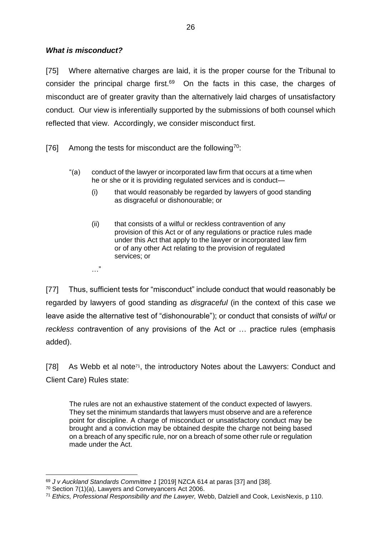## *What is misconduct?*

[75] Where alternative charges are laid, it is the proper course for the Tribunal to consider the principal charge first. $69$  On the facts in this case, the charges of misconduct are of greater gravity than the alternatively laid charges of unsatisfactory conduct. Our view is inferentially supported by the submissions of both counsel which reflected that view. Accordingly, we consider misconduct first.

[76] Among the tests for misconduct are the following<sup>70</sup>:

- "(a) conduct of the lawyer or incorporated law firm that occurs at a time when he or she or it is providing regulated services and is conduct—
	- (i) that would reasonably be regarded by lawyers of good standing as disgraceful or dishonourable; or
	- (ii) that consists of a wilful or reckless contravention of any provision of this Act or of any regulations or practice rules made under this Act that apply to the lawyer or incorporated law firm or of any other Act relating to the provision of regulated services; or
	- …"

[77] Thus, sufficient tests for "misconduct" include conduct that would reasonably be regarded by lawyers of good standing as *disgraceful* (in the context of this case we leave aside the alternative test of "dishonourable"); or conduct that consists of *wilful* or *reckless* contravention of any provisions of the Act or … practice rules (emphasis added).

[78] As Webb et al note<sup>71</sup>, the introductory Notes about the Lawyers: Conduct and Client Care) Rules state:

The rules are not an exhaustive statement of the conduct expected of lawyers. They set the minimum standards that lawyers must observe and are a reference point for discipline. A charge of misconduct or unsatisfactory conduct may be brought and a conviction may be obtained despite the charge not being based on a breach of any specific rule, nor on a breach of some other rule or regulation made under the Act.

<sup>69</sup> *J v Auckland Standards Committee 1* [2019] NZCA 614 at paras [37] and [38].

<sup>70</sup> Section 7(1)(a), Lawyers and Conveyancers Act 2006.

<sup>71</sup> *Ethics, Professional Responsibility and the Lawyer,* Webb, Dalziell and Cook, LexisNexis, p 110.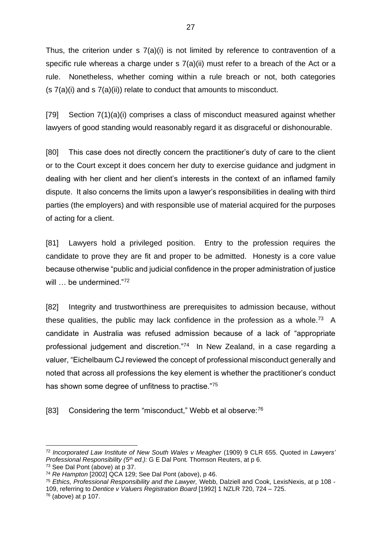Thus, the criterion under  $s \, 7(a)(i)$  is not limited by reference to contravention of a specific rule whereas a charge under s 7(a)(ii) must refer to a breach of the Act or a rule. Nonetheless, whether coming within a rule breach or not, both categories (s 7(a)(i) and s 7(a)(ii)) relate to conduct that amounts to misconduct.

[79] Section 7(1)(a)(i) comprises a class of misconduct measured against whether lawyers of good standing would reasonably regard it as disgraceful or dishonourable.

[80] This case does not directly concern the practitioner's duty of care to the client or to the Court except it does concern her duty to exercise guidance and judgment in dealing with her client and her client's interests in the context of an inflamed family dispute. It also concerns the limits upon a lawyer's responsibilities in dealing with third parties (the employers) and with responsible use of material acquired for the purposes of acting for a client.

[81] Lawyers hold a privileged position. Entry to the profession requires the candidate to prove they are fit and proper to be admitted. Honesty is a core value because otherwise "public and judicial confidence in the proper administration of justice will ... be undermined."72

[82] Integrity and trustworthiness are prerequisites to admission because, without these qualities, the public may lack confidence in the profession as a whole.<sup>73</sup> A candidate in Australia was refused admission because of a lack of "appropriate professional judgement and discretion."<sup>74</sup> In New Zealand, in a case regarding a valuer, "Eichelbaum CJ reviewed the concept of professional misconduct generally and noted that across all professions the key element is whether the practitioner's conduct has shown some degree of unfitness to practise."<sup>75</sup>

[83] Considering the term "misconduct," Webb et al observe:<sup>76</sup>

<sup>72</sup> *Incorporated Law Institute of New South Wales v Meagher* (1909) 9 CLR 655. Quoted in *Lawyers' Professional Responsibility (5th ed.):* G E Dal Pont*.* Thomson Reuters, at p 6.

<sup>73</sup> See Dal Pont (above) at p 37.

<sup>74</sup> *Re Hampton* [2002] QCA 129; See Dal Pont (above), p 46.

<sup>75</sup> *Ethics, Professional Responsibility and the Lawyer,* Webb, Dalziell and Cook, LexisNexis, at p 108 - 109, referring to *Dentice v Valuers Registration Board* [1992] 1 NZLR 720, 724 – 725.

<sup>76</sup> (above) at p 107.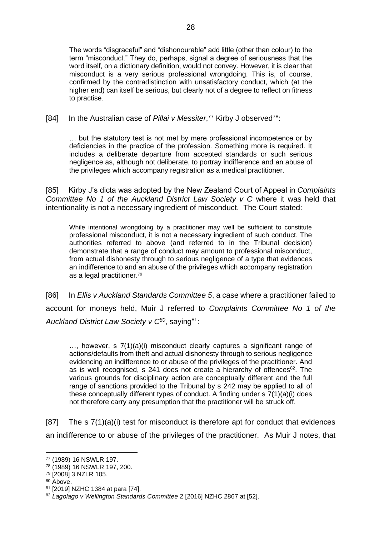The words "disgraceful" and "dishonourable" add little (other than colour) to the term "misconduct." They do, perhaps, signal a degree of seriousness that the word itself, on a dictionary definition, would not convey. However, it is clear that misconduct is a very serious professional wrongdoing. This is, of course, confirmed by the contradistinction with unsatisfactory conduct, which (at the higher end) can itself be serious, but clearly not of a degree to reflect on fitness to practise.

## [84] In the Australian case of *Pillai v Messiter*,<sup>77</sup> Kirby J observed<sup>78</sup>:

… but the statutory test is not met by mere professional incompetence or by deficiencies in the practice of the profession. Something more is required. It includes a deliberate departure from accepted standards or such serious negligence as, although not deliberate, to portray indifference and an abuse of the privileges which accompany registration as a medical practitioner.

[85] Kirby J's dicta was adopted by the New Zealand Court of Appeal in *Complaints Committee No 1 of the Auckland District Law Society v C* where it was held that intentionality is not a necessary ingredient of misconduct. The Court stated:

While intentional wrongdoing by a practitioner may well be sufficient to constitute professional misconduct, it is not a necessary ingredient of such conduct. The authorities referred to above (and referred to in the Tribunal decision) demonstrate that a range of conduct may amount to professional misconduct, from actual dishonesty through to serious negligence of a type that evidences an indifference to and an abuse of the privileges which accompany registration as a legal practitioner. 79

[86] In *Ellis v Auckland Standards Committee 5*, a case where a practitioner failed to account for moneys held, Muir J referred to *Complaints Committee No 1 of the Auckland District Law Society v C<sup>80</sup>*, saying<sup>81</sup>:

…, however, s 7(1)(a)(i) misconduct clearly captures a significant range of actions/defaults from theft and actual dishonesty through to serious negligence evidencing an indifference to or abuse of the privileges of the practitioner. And as is well recognised, s  $241$  does not create a hierarchy of offences<sup>82</sup>. The various grounds for disciplinary action are conceptually different and the full range of sanctions provided to the Tribunal by s 242 may be applied to all of these conceptually different types of conduct. A finding under s 7(1)(a)(i) does not therefore carry any presumption that the practitioner will be struck off.

[87] The s 7(1)(a)(i) test for misconduct is therefore apt for conduct that evidences an indifference to or abuse of the privileges of the practitioner. As Muir J notes, that

<sup>77</sup> (1989) 16 NSWLR 197.

<sup>78</sup> (1989) 16 NSWLR 197, 200.

<sup>79</sup> [2008] 3 NZLR 105.

<sup>80</sup> Above.

<sup>81</sup> [2019] NZHC 1384 at para [74].

<sup>82</sup> *Lagolago v Wellington Standards Committee* 2 [2016] NZHC 2867 at [52].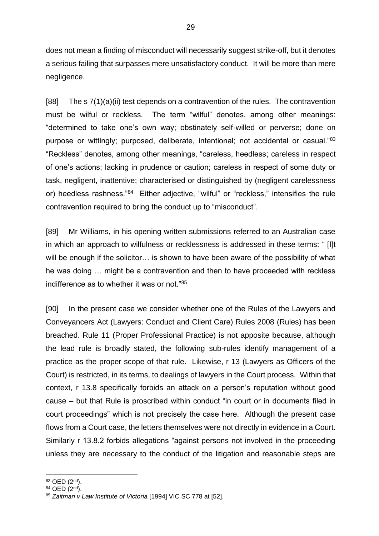does not mean a finding of misconduct will necessarily suggest strike-off, but it denotes a serious failing that surpasses mere unsatisfactory conduct. It will be more than mere negligence.

[88] The s 7(1)(a)(ii) test depends on a contravention of the rules. The contravention must be wilful or reckless. The term "wilful" denotes, among other meanings: "determined to take one's own way; obstinately self-willed or perverse; done on purpose or wittingly; purposed, deliberate, intentional; not accidental or casual."<sup>83</sup> "Reckless" denotes, among other meanings, "careless, heedless; careless in respect of one's actions; lacking in prudence or caution; careless in respect of some duty or task, negligent, inattentive; characterised or distinguished by (negligent carelessness or) heedless rashness."<sup>84</sup> Either adjective, "wilful" or "reckless," intensifies the rule contravention required to bring the conduct up to "misconduct".

[89] Mr Williams, in his opening written submissions referred to an Australian case in which an approach to wilfulness or recklessness is addressed in these terms: " [I]t will be enough if the solicitor... is shown to have been aware of the possibility of what he was doing … might be a contravention and then to have proceeded with reckless indifference as to whether it was or not."<sup>85</sup>

[90] In the present case we consider whether one of the Rules of the Lawyers and Conveyancers Act (Lawyers: Conduct and Client Care) Rules 2008 (Rules) has been breached. Rule 11 (Proper Professional Practice) is not apposite because, although the lead rule is broadly stated, the following sub-rules identify management of a practice as the proper scope of that rule. Likewise, r 13 (Lawyers as Officers of the Court) is restricted, in its terms, to dealings of lawyers in the Court process. Within that context, r 13.8 specifically forbids an attack on a person's reputation without good cause – but that Rule is proscribed within conduct "in court or in documents filed in court proceedings" which is not precisely the case here. Although the present case flows from a Court case, the letters themselves were not directly in evidence in a Court. Similarly r 13.8.2 forbids allegations "against persons not involved in the proceeding unless they are necessary to the conduct of the litigation and reasonable steps are

<sup>83</sup> OED (2nd).

 $84$  OED  $(2^{nd})$ .

<sup>85</sup> *Zaitman v Law Institute of Victoria* [1994] VIC SC 778 at [52].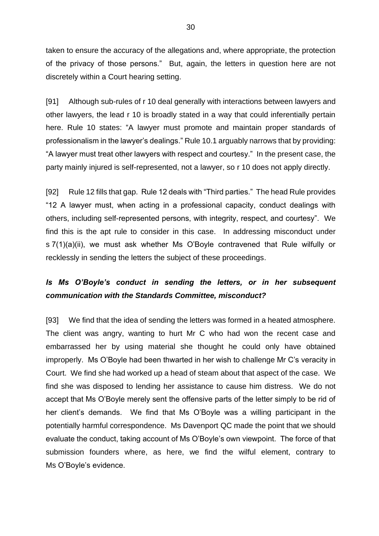taken to ensure the accuracy of the allegations and, where appropriate, the protection of the privacy of those persons." But, again, the letters in question here are not discretely within a Court hearing setting.

[91] Although sub-rules of r 10 deal generally with interactions between lawyers and other lawyers, the lead r 10 is broadly stated in a way that could inferentially pertain here. Rule 10 states: "A lawyer must promote and maintain proper standards of professionalism in the lawyer's dealings." Rule 10.1 arguably narrows that by providing: "A lawyer must treat other lawyers with respect and courtesy." In the present case, the party mainly injured is self-represented, not a lawyer, so r 10 does not apply directly.

[92] Rule 12 fills that gap. Rule 12 deals with "Third parties." The head Rule provides "12 A lawyer must, when acting in a professional capacity, conduct dealings with others, including self-represented persons, with integrity, respect, and courtesy". We find this is the apt rule to consider in this case. In addressing misconduct under s 7(1)(a)(ii), we must ask whether Ms O'Boyle contravened that Rule wilfully or recklessly in sending the letters the subject of these proceedings.

## *Is Ms O'Boyle's conduct in sending the letters, or in her subsequent communication with the Standards Committee, misconduct?*

[93] We find that the idea of sending the letters was formed in a heated atmosphere. The client was angry, wanting to hurt Mr C who had won the recent case and embarrassed her by using material she thought he could only have obtained improperly. Ms O'Boyle had been thwarted in her wish to challenge Mr C's veracity in Court. We find she had worked up a head of steam about that aspect of the case. We find she was disposed to lending her assistance to cause him distress. We do not accept that Ms O'Boyle merely sent the offensive parts of the letter simply to be rid of her client's demands. We find that Ms O'Boyle was a willing participant in the potentially harmful correspondence. Ms Davenport QC made the point that we should evaluate the conduct, taking account of Ms O'Boyle's own viewpoint. The force of that submission founders where, as here, we find the wilful element, contrary to Ms O'Boyle's evidence.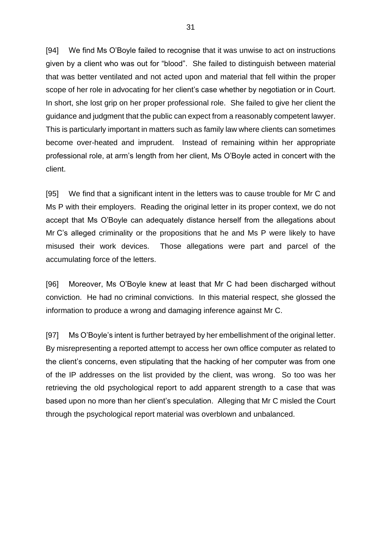[94] We find Ms O'Boyle failed to recognise that it was unwise to act on instructions given by a client who was out for "blood". She failed to distinguish between material that was better ventilated and not acted upon and material that fell within the proper scope of her role in advocating for her client's case whether by negotiation or in Court. In short, she lost grip on her proper professional role. She failed to give her client the guidance and judgment that the public can expect from a reasonably competent lawyer. This is particularly important in matters such as family law where clients can sometimes become over-heated and imprudent. Instead of remaining within her appropriate professional role, at arm's length from her client, Ms O'Boyle acted in concert with the client.

[95] We find that a significant intent in the letters was to cause trouble for Mr C and Ms P with their employers. Reading the original letter in its proper context, we do not accept that Ms O'Boyle can adequately distance herself from the allegations about Mr C's alleged criminality or the propositions that he and Ms P were likely to have misused their work devices. Those allegations were part and parcel of the accumulating force of the letters.

[96] Moreover, Ms O'Boyle knew at least that Mr C had been discharged without conviction. He had no criminal convictions. In this material respect, she glossed the information to produce a wrong and damaging inference against Mr C.

[97] Ms O'Boyle's intent is further betrayed by her embellishment of the original letter. By misrepresenting a reported attempt to access her own office computer as related to the client's concerns, even stipulating that the hacking of her computer was from one of the IP addresses on the list provided by the client, was wrong. So too was her retrieving the old psychological report to add apparent strength to a case that was based upon no more than her client's speculation. Alleging that Mr C misled the Court through the psychological report material was overblown and unbalanced.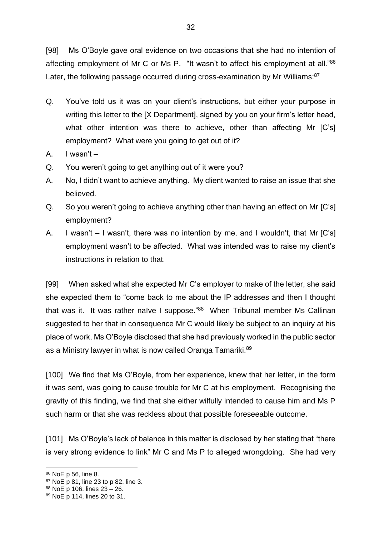[98] Ms O'Boyle gave oral evidence on two occasions that she had no intention of affecting employment of Mr C or Ms P. "It wasn't to affect his employment at all."<sup>86</sup> Later, the following passage occurred during cross-examination by Mr Williams:<sup>87</sup>

- Q. You've told us it was on your client's instructions, but either your purpose in writing this letter to the [X Department], signed by you on your firm's letter head, what other intention was there to achieve, other than affecting Mr [C's] employment? What were you going to get out of it?
- A. I wasn't –
- Q. You weren't going to get anything out of it were you?
- A. No, I didn't want to achieve anything. My client wanted to raise an issue that she believed.
- Q. So you weren't going to achieve anything other than having an effect on Mr [C's] employment?
- A. I wasn't I wasn't, there was no intention by me, and I wouldn't, that Mr [C's] employment wasn't to be affected. What was intended was to raise my client's instructions in relation to that.

[99] When asked what she expected Mr C's employer to make of the letter, she said she expected them to "come back to me about the IP addresses and then I thought that was it. It was rather naïve I suppose."<sup>88</sup> When Tribunal member Ms Callinan suggested to her that in consequence Mr C would likely be subject to an inquiry at his place of work, Ms O'Boyle disclosed that she had previously worked in the public sector as a Ministry lawyer in what is now called Oranga Tamariki.<sup>89</sup>

[100] We find that Ms O'Boyle, from her experience, knew that her letter, in the form it was sent, was going to cause trouble for Mr C at his employment. Recognising the gravity of this finding, we find that she either wilfully intended to cause him and Ms P such harm or that she was reckless about that possible foreseeable outcome.

[101] Ms O'Boyle's lack of balance in this matter is disclosed by her stating that "there" is very strong evidence to link" Mr C and Ms P to alleged wrongdoing. She had very

<sup>86</sup> NoE p 56, line 8.

<sup>87</sup> NoE p 81, line 23 to p 82, line 3.

<sup>88</sup> NoE p 106, lines 23 – 26.

<sup>89</sup> NoE p 114, lines 20 to 31.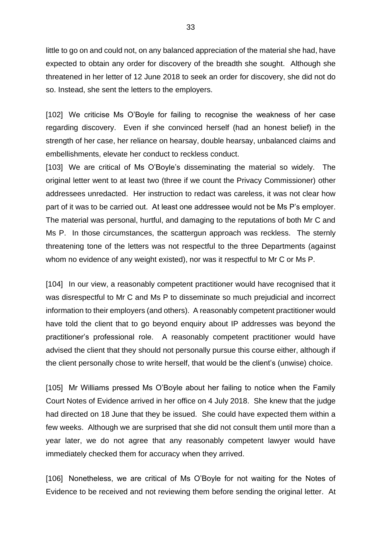little to go on and could not, on any balanced appreciation of the material she had, have expected to obtain any order for discovery of the breadth she sought. Although she threatened in her letter of 12 June 2018 to seek an order for discovery, she did not do so. Instead, she sent the letters to the employers.

[102] We criticise Ms O'Boyle for failing to recognise the weakness of her case regarding discovery. Even if she convinced herself (had an honest belief) in the strength of her case, her reliance on hearsay, double hearsay, unbalanced claims and embellishments, elevate her conduct to reckless conduct.

[103] We are critical of Ms O'Boyle's disseminating the material so widely. The original letter went to at least two (three if we count the Privacy Commissioner) other addressees unredacted. Her instruction to redact was careless, it was not clear how part of it was to be carried out. At least one addressee would not be Ms P's employer. The material was personal, hurtful, and damaging to the reputations of both Mr C and Ms P. In those circumstances, the scattergun approach was reckless. The sternly threatening tone of the letters was not respectful to the three Departments (against whom no evidence of any weight existed), nor was it respectful to Mr C or Ms P.

[104] In our view, a reasonably competent practitioner would have recognised that it was disrespectful to Mr C and Ms P to disseminate so much prejudicial and incorrect information to their employers (and others). A reasonably competent practitioner would have told the client that to go beyond enquiry about IP addresses was beyond the practitioner's professional role. A reasonably competent practitioner would have advised the client that they should not personally pursue this course either, although if the client personally chose to write herself, that would be the client's (unwise) choice.

[105] Mr Williams pressed Ms O'Boyle about her failing to notice when the Family Court Notes of Evidence arrived in her office on 4 July 2018. She knew that the judge had directed on 18 June that they be issued. She could have expected them within a few weeks. Although we are surprised that she did not consult them until more than a year later, we do not agree that any reasonably competent lawyer would have immediately checked them for accuracy when they arrived.

[106] Nonetheless, we are critical of Ms O'Boyle for not waiting for the Notes of Evidence to be received and not reviewing them before sending the original letter. At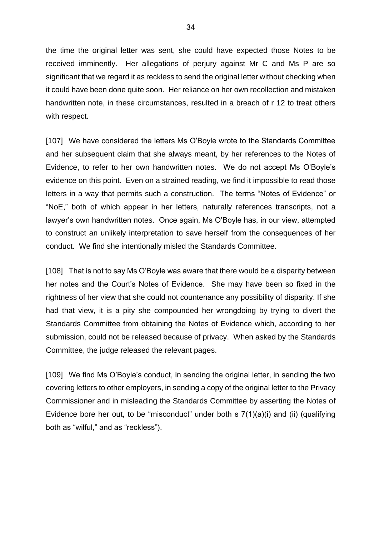the time the original letter was sent, she could have expected those Notes to be received imminently. Her allegations of perjury against Mr C and Ms P are so significant that we regard it as reckless to send the original letter without checking when it could have been done quite soon. Her reliance on her own recollection and mistaken handwritten note, in these circumstances, resulted in a breach of r 12 to treat others with respect.

[107] We have considered the letters Ms O'Boyle wrote to the Standards Committee and her subsequent claim that she always meant, by her references to the Notes of Evidence, to refer to her own handwritten notes. We do not accept Ms O'Boyle's evidence on this point. Even on a strained reading, we find it impossible to read those letters in a way that permits such a construction. The terms "Notes of Evidence" or "NoE," both of which appear in her letters, naturally references transcripts, not a lawyer's own handwritten notes. Once again, Ms O'Boyle has, in our view, attempted to construct an unlikely interpretation to save herself from the consequences of her conduct. We find she intentionally misled the Standards Committee.

[108] That is not to say Ms O'Boyle was aware that there would be a disparity between her notes and the Court's Notes of Evidence. She may have been so fixed in the rightness of her view that she could not countenance any possibility of disparity. If she had that view, it is a pity she compounded her wrongdoing by trying to divert the Standards Committee from obtaining the Notes of Evidence which, according to her submission, could not be released because of privacy. When asked by the Standards Committee, the judge released the relevant pages.

[109] We find Ms O'Boyle's conduct, in sending the original letter, in sending the two covering letters to other employers, in sending a copy of the original letter to the Privacy Commissioner and in misleading the Standards Committee by asserting the Notes of Evidence bore her out, to be "misconduct" under both  $\leq 7(1)(a)(i)$  and (ii) (qualifying both as "wilful," and as "reckless").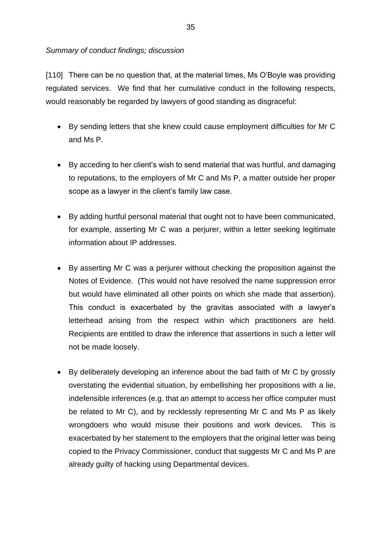## *Summary of conduct findings; discussion*

[110] There can be no question that, at the material times, Ms O'Boyle was providing regulated services. We find that her cumulative conduct in the following respects, would reasonably be regarded by lawyers of good standing as disgraceful:

- By sending letters that she knew could cause employment difficulties for Mr C and Ms P.
- By acceding to her client's wish to send material that was hurtful, and damaging to reputations, to the employers of Mr C and Ms P, a matter outside her proper scope as a lawyer in the client's family law case.
- By adding hurtful personal material that ought not to have been communicated, for example, asserting Mr C was a perjurer, within a letter seeking legitimate information about IP addresses.
- By asserting Mr C was a perjurer without checking the proposition against the Notes of Evidence. (This would not have resolved the name suppression error but would have eliminated all other points on which she made that assertion). This conduct is exacerbated by the gravitas associated with a lawyer's letterhead arising from the respect within which practitioners are held. Recipients are entitled to draw the inference that assertions in such a letter will not be made loosely.
- By deliberately developing an inference about the bad faith of Mr C by grossly overstating the evidential situation, by embellishing her propositions with a lie, indefensible inferences (e.g. that an attempt to access her office computer must be related to Mr C), and by recklessly representing Mr C and Ms P as likely wrongdoers who would misuse their positions and work devices. This is exacerbated by her statement to the employers that the original letter was being copied to the Privacy Commissioner, conduct that suggests Mr C and Ms P are already guilty of hacking using Departmental devices.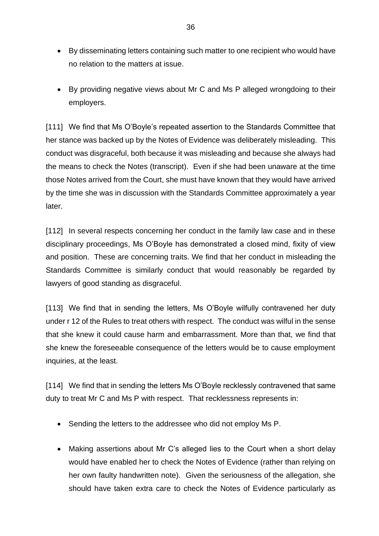- By disseminating letters containing such matter to one recipient who would have no relation to the matters at issue.
- By providing negative views about Mr C and Ms P alleged wrongdoing to their employers.

[111] We find that Ms O'Boyle's repeated assertion to the Standards Committee that her stance was backed up by the Notes of Evidence was deliberately misleading. This conduct was disgraceful, both because it was misleading and because she always had the means to check the Notes (transcript). Even if she had been unaware at the time those Notes arrived from the Court, she must have known that they would have arrived by the time she was in discussion with the Standards Committee approximately a year later.

[112] In several respects concerning her conduct in the family law case and in these disciplinary proceedings, Ms O'Boyle has demonstrated a closed mind, fixity of view and position. These are concerning traits. We find that her conduct in misleading the Standards Committee is similarly conduct that would reasonably be regarded by lawyers of good standing as disgraceful.

[113] We find that in sending the letters, Ms O'Boyle wilfully contravened her duty under r 12 of the Rules to treat others with respect. The conduct was wilful in the sense that she knew it could cause harm and embarrassment. More than that, we find that she knew the foreseeable consequence of the letters would be to cause employment inquiries, at the least.

[114] We find that in sending the letters Ms O'Boyle recklessly contravened that same duty to treat Mr C and Ms P with respect. That recklessness represents in:

- Sending the letters to the addressee who did not employ Ms P.
- Making assertions about Mr C's alleged lies to the Court when a short delay would have enabled her to check the Notes of Evidence (rather than relying on her own faulty handwritten note). Given the seriousness of the allegation, she should have taken extra care to check the Notes of Evidence particularly as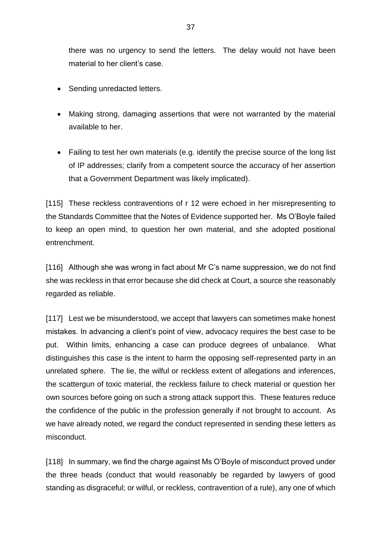there was no urgency to send the letters. The delay would not have been material to her client's case.

- Sending unredacted letters.
- Making strong, damaging assertions that were not warranted by the material available to her.
- Failing to test her own materials (e.g. identify the precise source of the long list of IP addresses; clarify from a competent source the accuracy of her assertion that a Government Department was likely implicated).

[115] These reckless contraventions of r 12 were echoed in her misrepresenting to the Standards Committee that the Notes of Evidence supported her. Ms O'Boyle failed to keep an open mind, to question her own material, and she adopted positional entrenchment.

[116] Although she was wrong in fact about Mr C's name suppression, we do not find she was reckless in that error because she did check at Court, a source she reasonably regarded as reliable.

[117] Lest we be misunderstood, we accept that lawyers can sometimes make honest mistakes. In advancing a client's point of view, advocacy requires the best case to be put. Within limits, enhancing a case can produce degrees of unbalance. What distinguishes this case is the intent to harm the opposing self-represented party in an unrelated sphere. The lie, the wilful or reckless extent of allegations and inferences, the scattergun of toxic material, the reckless failure to check material or question her own sources before going on such a strong attack support this. These features reduce the confidence of the public in the profession generally if not brought to account. As we have already noted, we regard the conduct represented in sending these letters as misconduct.

[118] In summary, we find the charge against Ms O'Boyle of misconduct proved under the three heads (conduct that would reasonably be regarded by lawyers of good standing as disgraceful; or wilful, or reckless, contravention of a rule), any one of which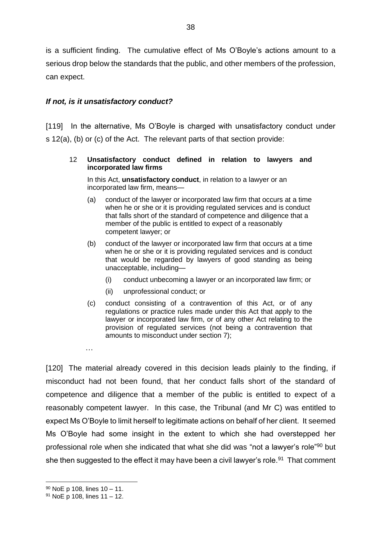is a sufficient finding. The cumulative effect of Ms O'Boyle's actions amount to a serious drop below the standards that the public, and other members of the profession, can expect.

## *If not, is it unsatisfactory conduct?*

[119] In the alternative, Ms O'Boyle is charged with unsatisfactory conduct under s 12(a), (b) or (c) of the Act. The relevant parts of that section provide:

#### 12 **Unsatisfactory conduct defined in relation to lawyers and incorporated law firms**

In this Act, **unsatisfactory conduct**, in relation to a lawyer or an incorporated law firm, means—

- (a) conduct of the lawyer or incorporated law firm that occurs at a time when he or she or it is providing regulated services and is conduct that falls short of the standard of competence and diligence that a member of the public is entitled to expect of a reasonably competent lawyer; or
- (b) conduct of the lawyer or incorporated law firm that occurs at a time when he or she or it is providing regulated services and is conduct that would be regarded by lawyers of good standing as being unacceptable, including—
	- (i) conduct unbecoming a lawyer or an incorporated law firm; or
	- (ii) unprofessional conduct; or
- (c) conduct consisting of a contravention of this Act, or of any regulations or practice rules made under this Act that apply to the lawyer or incorporated law firm, or of any other Act relating to the provision of regulated services (not being a contravention that amounts to misconduct under [section](https://legislation.govt.nz/act/public/2006/0001/latest/link.aspx?id=DLM365705#DLM365705) 7);

[120] The material already covered in this decision leads plainly to the finding, if misconduct had not been found, that her conduct falls short of the standard of competence and diligence that a member of the public is entitled to expect of a reasonably competent lawyer. In this case, the Tribunal (and Mr C) was entitled to expect Ms O'Boyle to limit herself to legitimate actions on behalf of her client. It seemed Ms O'Boyle had some insight in the extent to which she had overstepped her professional role when she indicated that what she did was "not a lawyer's role"<sup>90</sup> but she then suggested to the effect it may have been a civil lawyer's role.<sup>91</sup> That comment

…

<sup>90</sup> NoE p 108, lines 10 – 11.

 $91$  NoE p 108, lines 11 – 12.